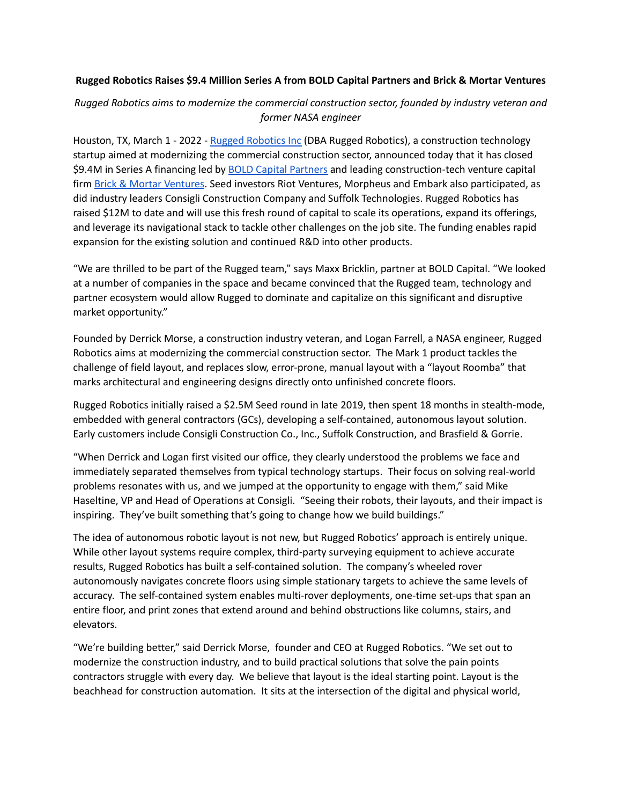## **Rugged Robotics Raises \$9.4 Million Series A from BOLD Capital Partners and Brick & Mortar Ventures**

# *Rugged Robotics aims to modernize the commercial construction sector, founded by industry veteran and former NASA engineer*

Houston, TX, March 1 - 2022 - Rugged [Robotics](https://www.rugged-robotics.com/) Inc (DBA Rugged Robotics), a construction technology startup aimed at modernizing the commercial construction sector, announced today that it has closed \$9.4M in Series A financing led by **BOLD Capital [Partners](https://boldcapitalpartners.com/)** and leading construction-tech venture capital firm Brick & Mortar [Ventures](https://brickmortar.vc/). Seed investors Riot Ventures, Morpheus and Embark also participated, as did industry leaders Consigli Construction Company and Suffolk Technologies. Rugged Robotics has raised \$12M to date and will use this fresh round of capital to scale its operations, expand its offerings, and leverage its navigational stack to tackle other challenges on the job site. The funding enables rapid expansion for the existing solution and continued R&D into other products.

"We are thrilled to be part of the Rugged team," says Maxx Bricklin, partner at BOLD Capital. "We looked at a number of companies in the space and became convinced that the Rugged team, technology and partner ecosystem would allow Rugged to dominate and capitalize on this significant and disruptive market opportunity."

Founded by Derrick Morse, a construction industry veteran, and Logan Farrell, a NASA engineer, Rugged Robotics aims at modernizing the commercial construction sector. The Mark 1 product tackles the challenge of field layout, and replaces slow, error-prone, manual layout with a "layout Roomba" that marks architectural and engineering designs directly onto unfinished concrete floors.

Rugged Robotics initially raised a \$2.5M Seed round in late 2019, then spent 18 months in stealth-mode, embedded with general contractors (GCs), developing a self-contained, autonomous layout solution. Early customers include Consigli Construction Co., Inc., Suffolk Construction, and Brasfield & Gorrie.

"When Derrick and Logan first visited our office, they clearly understood the problems we face and immediately separated themselves from typical technology startups. Their focus on solving real-world problems resonates with us, and we jumped at the opportunity to engage with them," said Mike Haseltine, VP and Head of Operations at Consigli. "Seeing their robots, their layouts, and their impact is inspiring. They've built something that's going to change how we build buildings."

The idea of autonomous robotic layout is not new, but Rugged Robotics' approach is entirely unique. While other layout systems require complex, third-party surveying equipment to achieve accurate results, Rugged Robotics has built a self-contained solution. The company's wheeled rover autonomously navigates concrete floors using simple stationary targets to achieve the same levels of accuracy. The self-contained system enables multi-rover deployments, one-time set-ups that span an entire floor, and print zones that extend around and behind obstructions like columns, stairs, and elevators.

"We're building better," said Derrick Morse, founder and CEO at Rugged Robotics. "We set out to modernize the construction industry, and to build practical solutions that solve the pain points contractors struggle with every day. We believe that layout is the ideal starting point. Layout is the beachhead for construction automation. It sits at the intersection of the digital and physical world,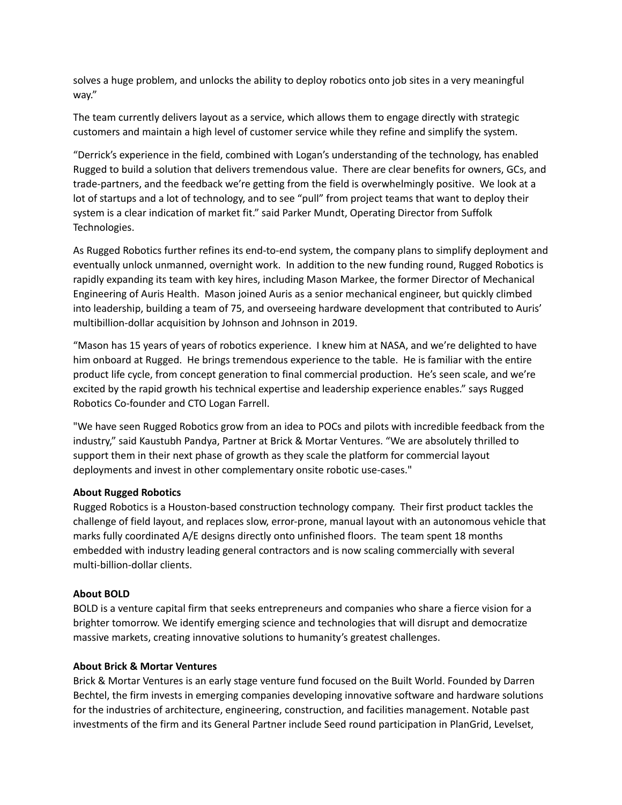solves a huge problem, and unlocks the ability to deploy robotics onto job sites in a very meaningful way."

The team currently delivers layout as a service, which allows them to engage directly with strategic customers and maintain a high level of customer service while they refine and simplify the system.

"Derrick's experience in the field, combined with Logan's understanding of the technology, has enabled Rugged to build a solution that delivers tremendous value. There are clear benefits for owners, GCs, and trade-partners, and the feedback we're getting from the field is overwhelmingly positive. We look at a lot of startups and a lot of technology, and to see "pull" from project teams that want to deploy their system is a clear indication of market fit." said Parker Mundt, Operating Director from Suffolk Technologies.

As Rugged Robotics further refines its end-to-end system, the company plans to simplify deployment and eventually unlock unmanned, overnight work. In addition to the new funding round, Rugged Robotics is rapidly expanding its team with key hires, including Mason Markee, the former Director of Mechanical Engineering of Auris Health. Mason joined Auris as a senior mechanical engineer, but quickly climbed into leadership, building a team of 75, and overseeing hardware development that contributed to Auris' multibillion-dollar acquisition by Johnson and Johnson in 2019.

"Mason has 15 years of years of robotics experience. I knew him at NASA, and we're delighted to have him onboard at Rugged. He brings tremendous experience to the table. He is familiar with the entire product life cycle, from concept generation to final commercial production. He's seen scale, and we're excited by the rapid growth his technical expertise and leadership experience enables." says Rugged Robotics Co-founder and CTO Logan Farrell.

"We have seen Rugged Robotics grow from an idea to POCs and pilots with incredible feedback from the industry," said Kaustubh Pandya, Partner at Brick & Mortar Ventures. "We are absolutely thrilled to support them in their next phase of growth as they scale the platform for commercial layout deployments and invest in other complementary onsite robotic use-cases."

## **About Rugged Robotics**

Rugged Robotics is a Houston-based construction technology company. Their first product tackles the challenge of field layout, and replaces slow, error-prone, manual layout with an autonomous vehicle that marks fully coordinated A/E designs directly onto unfinished floors. The team spent 18 months embedded with industry leading general contractors and is now scaling commercially with several multi-billion-dollar clients.

## **About BOLD**

BOLD is a venture capital firm that seeks entrepreneurs and companies who share a fierce vision for a brighter tomorrow. We identify emerging science and technologies that will disrupt and democratize massive markets, creating innovative solutions to humanity's greatest challenges.

## **About Brick & Mortar Ventures**

Brick & Mortar Ventures is an early stage venture fund focused on the Built World. Founded by Darren Bechtel, the firm invests in emerging companies developing innovative software and hardware solutions for the industries of architecture, engineering, construction, and facilities management. Notable past investments of the firm and its General Partner include Seed round participation in PlanGrid, Levelset,